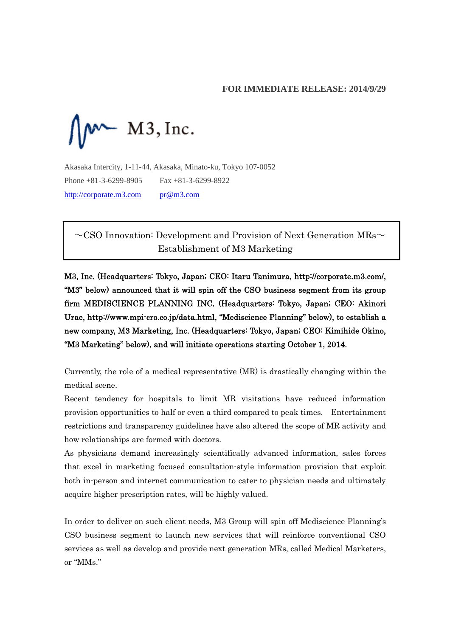# **FOR IMMEDIATE RELEASE: 2014/9/29**



Akasaka Intercity, 1-11-44, Akasaka, Minato-ku, Tokyo 107-0052 Phone +81-3-6299-8905 Fax +81-3-6299-8922 http://corporate.m3.com pr@m3.com

 $\sim$ CSO Innovation: Development and Provision of Next Generation MRs $\sim$ Establishment of M3 Marketing

M3, Inc. (Headquarters: Tokyo, Japan; CEO: Itaru Tanimura, http://corporate.m3.com/, "M3" below) announced that it will spin off the CSO business segment from its group firm MEDISCIENCE PLANNING INC. (Headquarters: Tokyo, Japan; CEO: Akinori Urae, http://www.mpi-cro.co.jp/data.html, "Mediscience Planning" below), to establish a new company, M3 Marketing, Inc. (Headquarters: Tokyo, Japan; CEO: Kimihide Okino, "M3 Marketing" below), and will initiate operations starting October 1, 2014.

Currently, the role of a medical representative (MR) is drastically changing within the medical scene.

Recent tendency for hospitals to limit MR visitations have reduced information provision opportunities to half or even a third compared to peak times. Entertainment restrictions and transparency guidelines have also altered the scope of MR activity and how relationships are formed with doctors.

As physicians demand increasingly scientifically advanced information, sales forces that excel in marketing focused consultation-style information provision that exploit both in-person and internet communication to cater to physician needs and ultimately acquire higher prescription rates, will be highly valued.

In order to deliver on such client needs, M3 Group will spin off Mediscience Planning's CSO business segment to launch new services that will reinforce conventional CSO services as well as develop and provide next generation MRs, called Medical Marketers, or "MMs."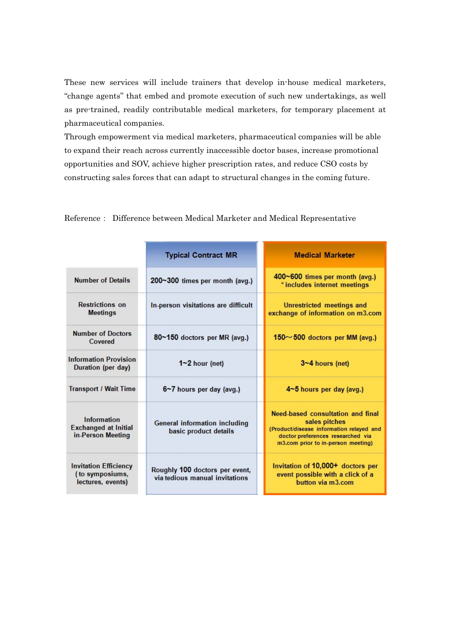These new services will include trainers that develop in-house medical marketers, "change agents" that embed and promote execution of such new undertakings, as well as pre-trained, readily contributable medical marketers, for temporary placement at pharmaceutical companies.

Through empowerment via medical marketers, pharmaceutical companies will be able to expand their reach across currently inaccessible doctor bases, increase promotional opportunities and SOV, achieve higher prescription rates, and reduce CSO costs by constructing sales forces that can adapt to structural changes in the coming future.

|                                                                        | <b>Typical Contract MR</b>                                       | <b>Medical Marketer</b>                                                                                                                                                   |
|------------------------------------------------------------------------|------------------------------------------------------------------|---------------------------------------------------------------------------------------------------------------------------------------------------------------------------|
| <b>Number of Details</b>                                               | 200~300 times per month (avg.)                                   | 400~600 times per month (avg.)<br>* includes internet meetings                                                                                                            |
| <b>Restrictions</b> on<br><b>Meetings</b>                              | In-person visitations are difficult                              | Unrestricted meetings and<br>exchange of information on m3.com                                                                                                            |
| <b>Number of Doctors</b><br>Covered                                    | 80~150 doctors per MR (avg.)                                     | $150 \sim 500$ doctors per MM (avg.)                                                                                                                                      |
| <b>Information Provision</b><br>Duration (per day)                     | $1 - 2$ hour (net)                                               | $3 - 4$ hours (net)                                                                                                                                                       |
| <b>Transport / Wait Time</b>                                           | 6~7 hours per day (avg.)                                         | 4~5 hours per day (avg.)                                                                                                                                                  |
| <b>Information</b><br><b>Exchanged at Initial</b><br>in-Person Meeting | General information including<br>basic product details           | Need-based consultation and final<br>sales pitches<br>(Product/disease information relayed and<br>doctor preferences researched via<br>m3.com prior to in-person meeting) |
| <b>Invitation Efficiency</b><br>(to symposiums,<br>lectures, events)   | Roughly 100 doctors per event,<br>via tedious manual invitations | Invitation of 10,000+ doctors per<br>event possible with a click of a<br>button via m3.com                                                                                |

Reference: Difference between Medical Marketer and Medical Representative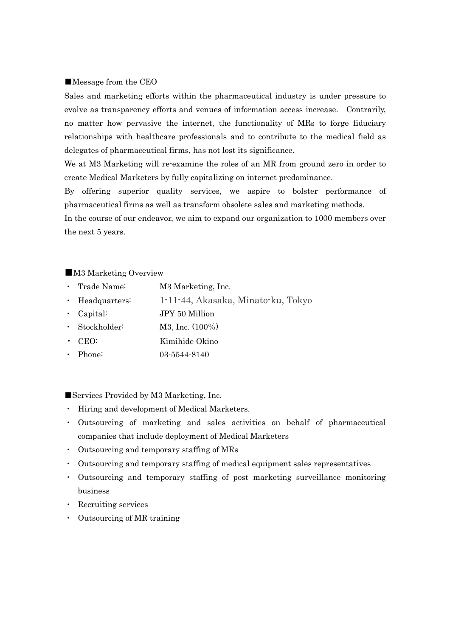#### ■Message from the CEO

Sales and marketing efforts within the pharmaceutical industry is under pressure to evolve as transparency efforts and venues of information access increase. Contrarily, no matter how pervasive the internet, the functionality of MRs to forge fiduciary relationships with healthcare professionals and to contribute to the medical field as delegates of pharmaceutical firms, has not lost its significance.

We at M3 Marketing will re-examine the roles of an MR from ground zero in order to create Medical Marketers by fully capitalizing on internet predominance.

By offering superior quality services, we aspire to bolster performance of pharmaceutical firms as well as transform obsolete sales and marketing methods.

In the course of our endeavor, we aim to expand our organization to 1000 members over the next 5 years.

#### ■M3 Marketing Overview

- ・ Trade Name: M3 Marketing, Inc.
- Headquarters: 1-11-44, Akasaka, Minato-ku, Tokyo
- ・ Capital: JPY 50 Million
- Stockholder:  $M3$ , Inc. (100%)
- ・ CEO: Kimihide Okino
- Phone: 03-5544-8140

■Services Provided by M3 Marketing, Inc.

- ・ Hiring and development of Medical Marketers.
- ・ Outsourcing of marketing and sales activities on behalf of pharmaceutical companies that include deployment of Medical Marketers
- ・ Outsourcing and temporary staffing of MRs
- ・ Outsourcing and temporary staffing of medical equipment sales representatives
- ・ Outsourcing and temporary staffing of post marketing surveillance monitoring business
- ・ Recruiting services
- ・ Outsourcing of MR training